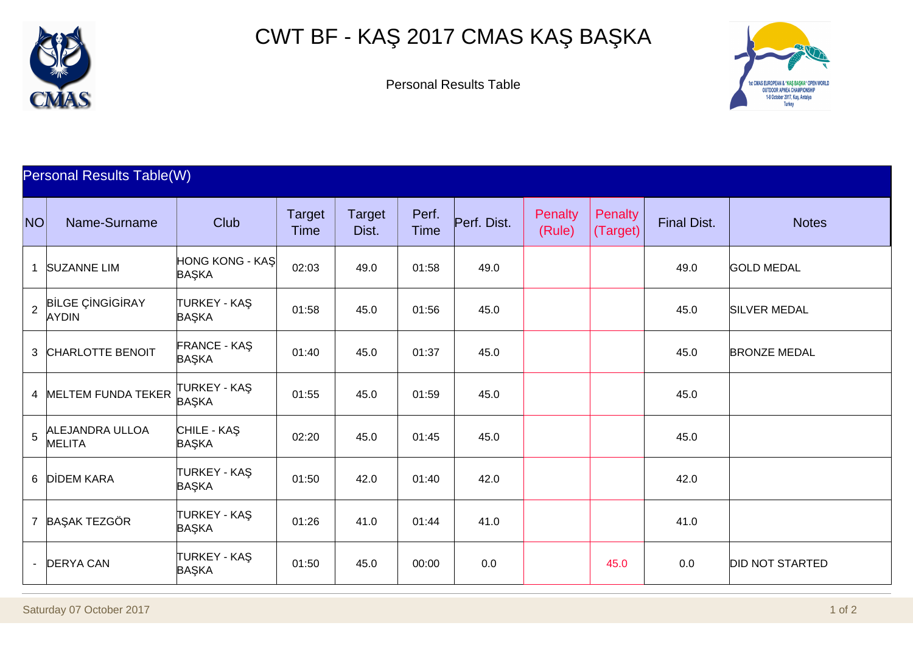

## CWT BF - KA 2017 CMAS KA BA KA



Personal Results Table

## Personal Results Table(W)

| NO           | Name-Surname                             | Club                           | <b>Target</b><br>Time | <b>Target</b><br>Dist. | Perf.<br><b>Time</b> | Perf. Dist. | <b>Penalty</b><br>(Rule) | Penalty<br>(Target) | <b>Final Dist.</b> | <b>Notes</b>           |
|--------------|------------------------------------------|--------------------------------|-----------------------|------------------------|----------------------|-------------|--------------------------|---------------------|--------------------|------------------------|
| $\mathbf{1}$ | <b>SUZANNE LIM</b>                       | <b>HONG KONG - KA</b><br>BA KA | 02:03                 | 49.0                   | 01:58                | 49.0        |                          |                     | 49.0               | <b>GOLD MEDAL</b>      |
|              | $\beta$ B LGE C NG G RAY<br><b>AYDIN</b> | <b>TURKEY - KA</b><br>BA KA    | 01:58                 | 45.0                   | 01:56                | 45.0        |                          |                     | 45.0               | <b>SILVER MEDAL</b>    |
|              | 3 CHARLOTTE BENOIT                       | <b>FRANCE - KA</b><br>BA KA    | 01:40                 | 45.0                   | 01:37                | 45.0        |                          |                     | 45.0               | <b>BRONZE MEDAL</b>    |
|              | 4 MELTEM FUNDA TEKER                     | TURKEY - KA<br>BA KA           | 01:55                 | 45.0                   | 01:59                | 45.0        |                          |                     | 45.0               |                        |
|              | $5$ ALEJANDRA ULLOA<br><b>MELITA</b>     | CHILE - KA<br>BA KA            | 02:20                 | 45.0                   | 01:45                | 45.0        |                          |                     | 45.0               |                        |
|              | 6 D DEM KARA                             | <b>TURKEY - KA</b><br>BA KA    | 01:50                 | 42.0                   | 01:40                | 42.0        |                          |                     | 42.0               |                        |
|              | 7 BA AK TEZGÖR                           | <b>TURKEY - KA</b><br>BA KA    | 01:26                 | 41.0                   | 01:44                | 41.0        |                          |                     | 41.0               |                        |
|              | - DERYA CAN                              | <b>TURKEY - KA</b><br>BA KA    | 01:50                 | 45.0                   | 00:00                | 0.0         |                          | 45.0                | 0.0                | <b>DID NOT STARTED</b> |